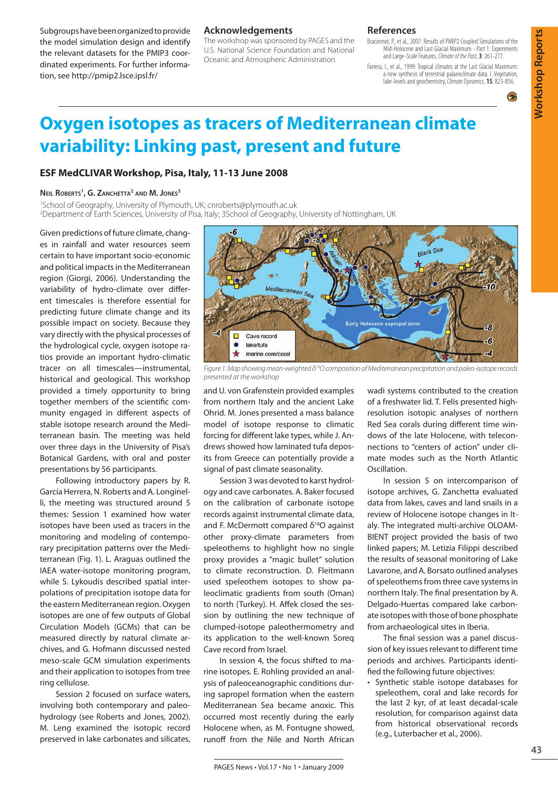Subgroups have been organized to provide the model simulation design and identify the relevant datasets for the PMIP3 coordinated experiments. For further information, see http://pmip2.lsce.ipsl.fr/

#### **Acknowledgements**

The workshop was sponsored by PAGES and the U.S. National Science Foundation and National Oceanic and Atmospheric Administration.

#### **References**

Braconnot, P., et al., 2007: Results of PMIP2 Coupled Simulations of the Mid-Holocene and Last Glacial Maximum - Part 1: Experiments and Large-Scale Features, *Climate of the Past*, **3**: 261-277.

Farrera, I., et al., 1999: Tropical climates at the Last Glacial Maximum: a new synthesis of terrestrial palaeoclimate data. I. Vegetation, lake-levels and geochemistry, *Climate Dynamics*, **15**: 823-856.



 $\bullet$ 

# **Oxygen isotopes as tracers of Mediterranean climate variability: Linking past, present and future**

## **ESF MedCLIVAR Workshop, Pisa, Italy, 11-13 June 2008**

#### **Neil Roberts1 , G. Zanchetta2 and M. Jones3**

1 School of Geography, University of Plymouth, UK; cnroberts@plymouth.ac.uk 2 Department of Earth Sciences, University of Pisa, Italy; 3School of Geography, University of Nottingham, UK

Given predictions of future climate, changes in rainfall and water resources seem certain to have important socio-economic and political impacts in the Mediterranean region (Giorgi, 2006). Understanding the variability of hydro-climate over different timescales is therefore essential for predicting future climate change and its possible impact on society. Because they vary directly with the physical processes of the hydrological cycle, oxygen isotope ratios provide an important hydro-climatic tracer on all timescales—instrumental, historical and geological. This workshop provided a timely opportunity to bring together members of the scientific community engaged in different aspects of stable isotope research around the Mediterranean basin. The meeting was held over three days in the University of Pisa's Botanical Gardens, with oral and poster presentations by 56 participants.

Following introductory papers by R. García Herrera, N. Roberts and A. Longinelli, the meeting was structured around 5 themes: Session 1 examined how water isotopes have been used as tracers in the monitoring and modeling of contemporary precipitation patterns over the Mediterranean (Fig. 1). L. Araguas outlined the IAEA water-isotope monitoring program, while S. Lykoudis described spatial interpolations of precipitation isotope data for the eastern Mediterranean region. Oxygen isotopes are one of few outputs of Global Circulation Models (GCMs) that can be measured directly by natural climate archives, and G. Hofmann discussed nested meso-scale GCM simulation experiments and their application to isotopes from tree ring cellulose.

Session 2 focused on surface waters, involving both contemporary and paleohydrology (see Roberts and Jones, 2002). M. Leng examined the isotopic record preserved in lake carbonates and silicates,



*Figure 1: Map showing mean-weighted δ18O composition of Mediterranean precipitation and paleo-isotope records presented at the workshop*

and U. von Grafenstein provided examples from northern Italy and the ancient Lake Ohrid. M. Jones presented a mass balance model of isotope response to climatic forcing for different lake types, while J. Andrews showed how laminated tufa deposits from Greece can potentially provide a signal of past climate seasonality.

Session 3 was devoted to karst hydrology and cave carbonates. A. Baker focused on the calibration of carbonate isotope records against instrumental climate data, and F. McDermott compared  $\delta^{18}$ O against other proxy-climate parameters from speleothems to highlight how no single proxy provides a "magic bullet" solution to climate reconstruction. D. Fleitmann used speleothem isotopes to show paleoclimatic gradients from south (Oman) to north (Turkey). H. Affek closed the session by outlining the new technique of clumped-isotope paleothermometry and its application to the well-known Soreq Cave record from Israel.

In session 4, the focus shifted to marine isotopes. E. Rohling provided an analysis of paleoceanographic conditions during sapropel formation when the eastern Mediterranean Sea became anoxic. This occurred most recently during the early Holocene when, as M. Fontugne showed, runoff from the Nile and North African

wadi systems contributed to the creation of a freshwater lid. T. Felis presented highresolution isotopic analyses of northern Red Sea corals during different time windows of the late Holocene, with teleconnections to "centers of action" under climate modes such as the North Atlantic Oscillation.

In session 5 on intercomparison of isotope archives, G. Zanchetta evaluated data from lakes, caves and land snails in a review of Holocene isotope changes in Italy. The integrated multi-archive OLOAM-BIENT project provided the basis of two linked papers; M. Letizia Filippi described the results of seasonal monitoring of Lake Lavarone, and A. Borsato outlined analyses of speleothems from three cave systems in northern Italy. The final presentation by A. Delgado-Huertas compared lake carbonate isotopes with those of bone phosphate from archaeological sites in Iberia.

The final session was a panel discussion of key issues relevant to different time periods and archives. Participants identified the following future objectives:

• Synthetic stable isotope databases for speleothem, coral and lake records for the last 2 kyr, of at least decadal-scale resolution, for comparison against data from historical observational records (e.g., Luterbacher et al., 2006).